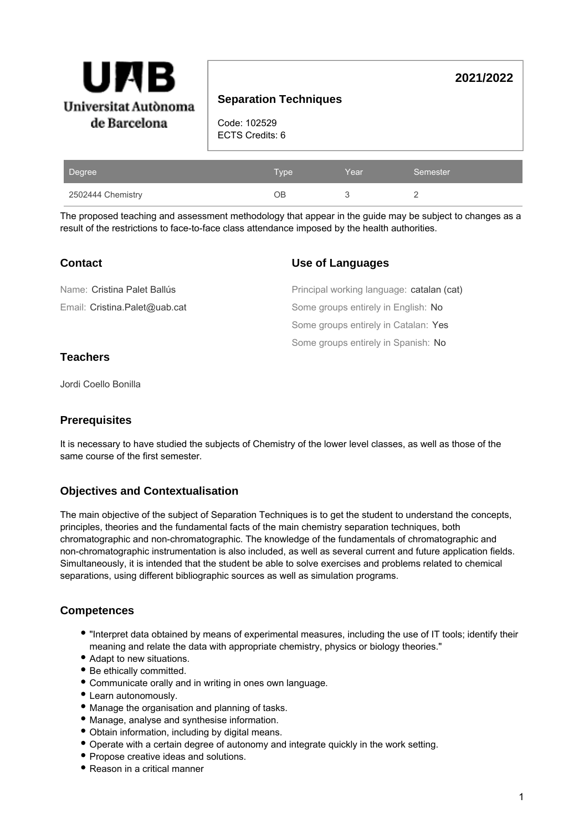

# **Separation Techniques**

Code: 102529 ECTS Credits: 6

| Degree            | <b>Type</b> | Year | Semester |
|-------------------|-------------|------|----------|
| 2502444 Chemistry | ٦R          |      |          |

The proposed teaching and assessment methodology that appear in the guide may be subject to changes as a result of the restrictions to face-to-face class attendance imposed by the health authorities.

| <b>Contact</b>                | <b>Use of Languages</b>                   |
|-------------------------------|-------------------------------------------|
| Name: Cristina Palet Ballús   | Principal working language: catalan (cat) |
| Email: Cristina.Palet@uab.cat | Some groups entirely in English: No       |
|                               | Some groups entirely in Catalan: Yes      |
|                               | Some groups entirely in Spanish: No       |

# **Teachers**

Jordi Coello Bonilla

## **Prerequisites**

It is necessary to have studied the subjects of Chemistry of the lower level classes, as well as those of the same course of the first semester.

# **Objectives and Contextualisation**

The main objective of the subject of Separation Techniques is to get the student to understand the concepts, principles, theories and the fundamental facts of the main chemistry separation techniques, both chromatographic and non-chromatographic. The knowledge of the fundamentals of chromatographic and non-chromatographic instrumentation is also included, as well as several current and future application fields. Simultaneously, it is intended that the student be able to solve exercises and problems related to chemical separations, using different bibliographic sources as well as simulation programs.

## **Competences**

- "Interpret data obtained by means of experimental measures, including the use of IT tools; identify their meaning and relate the data with appropriate chemistry, physics or biology theories."
- Adapt to new situations.
- Be ethically committed.
- Communicate orally and in writing in ones own language.
- Learn autonomously.
- Manage the organisation and planning of tasks.
- Manage, analyse and synthesise information.
- Obtain information, including by digital means.
- Operate with a certain degree of autonomy and integrate quickly in the work setting.
- Propose creative ideas and solutions.
- Reason in a critical manner

**2021/2022**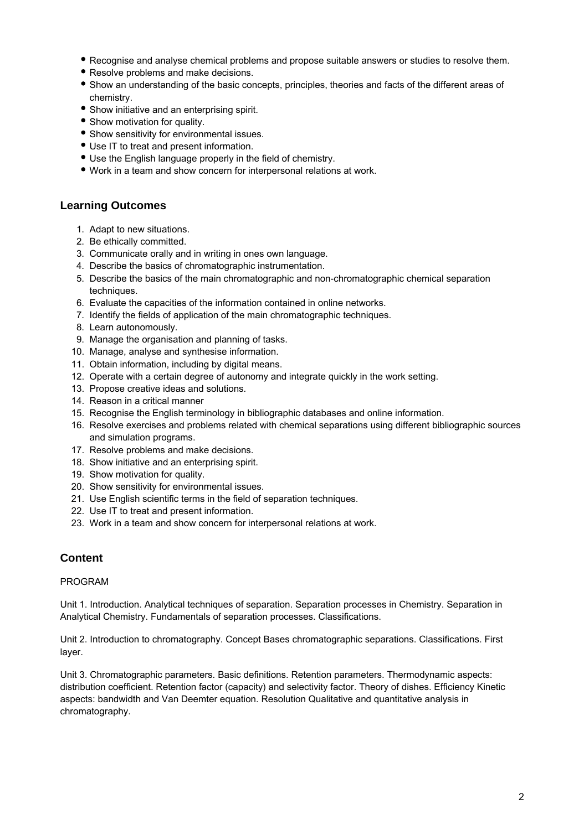- Recognise and analyse chemical problems and propose suitable answers or studies to resolve them.
- Resolve problems and make decisions.
- Show an understanding of the basic concepts, principles, theories and facts of the different areas of chemistry.
- Show initiative and an enterprising spirit.
- Show motivation for quality.
- Show sensitivity for environmental issues.
- Use IT to treat and present information.
- Use the English language properly in the field of chemistry.
- Work in a team and show concern for interpersonal relations at work.

## **Learning Outcomes**

- 1. Adapt to new situations.
- 2. Be ethically committed.
- 3. Communicate orally and in writing in ones own language.
- 4. Describe the basics of chromatographic instrumentation.
- 5. Describe the basics of the main chromatographic and non-chromatographic chemical separation techniques.
- 6. Evaluate the capacities of the information contained in online networks.
- 7. Identify the fields of application of the main chromatographic techniques.
- 8. Learn autonomously.
- 9. Manage the organisation and planning of tasks.
- 10. Manage, analyse and synthesise information.
- 11. Obtain information, including by digital means.
- 12. Operate with a certain degree of autonomy and integrate quickly in the work setting.
- 13. Propose creative ideas and solutions.
- 14. Reason in a critical manner
- 15. Recognise the English terminology in bibliographic databases and online information.
- 16. Resolve exercises and problems related with chemical separations using different bibliographic sources and simulation programs.
- 17. Resolve problems and make decisions.
- 18. Show initiative and an enterprising spirit.
- 19. Show motivation for quality.
- 20. Show sensitivity for environmental issues.
- 21. Use English scientific terms in the field of separation techniques.
- 22. Use IT to treat and present information.
- 23. Work in a team and show concern for interpersonal relations at work.

## **Content**

### PROGRAM

Unit 1. Introduction. Analytical techniques of separation. Separation processes in Chemistry. Separation in Analytical Chemistry. Fundamentals of separation processes. Classifications.

Unit 2. Introduction to chromatography. Concept Bases chromatographic separations. Classifications. First layer.

Unit 3. Chromatographic parameters. Basic definitions. Retention parameters. Thermodynamic aspects: distribution coefficient. Retention factor (capacity) and selectivity factor. Theory of dishes. Efficiency Kinetic aspects: bandwidth and Van Deemter equation. Resolution Qualitative and quantitative analysis in chromatography.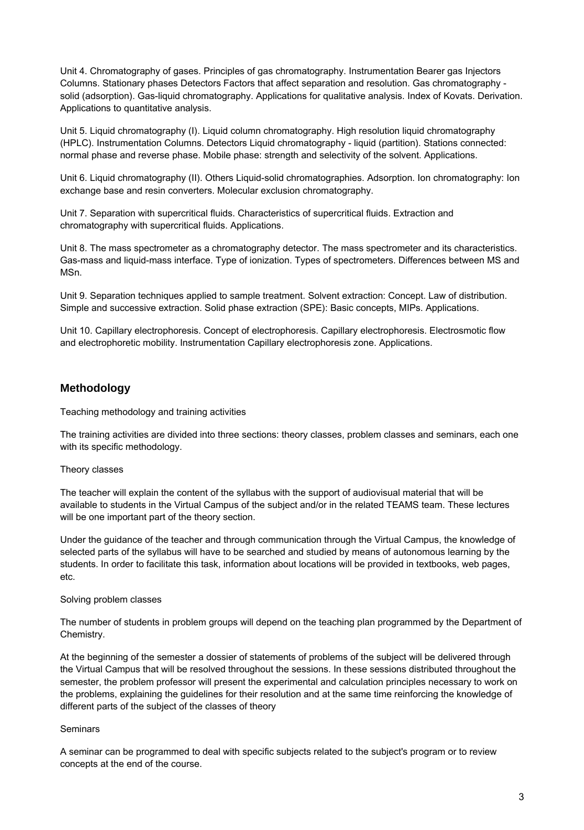Unit 4. Chromatography of gases. Principles of gas chromatography. Instrumentation Bearer gas Injectors Columns. Stationary phases Detectors Factors that affect separation and resolution. Gas chromatography solid (adsorption). Gas-liquid chromatography. Applications for qualitative analysis. Index of Kovats. Derivation. Applications to quantitative analysis.

Unit 5. Liquid chromatography (I). Liquid column chromatography. High resolution liquid chromatography (HPLC). Instrumentation Columns. Detectors Liquid chromatography - liquid (partition). Stations connected: normal phase and reverse phase. Mobile phase: strength and selectivity of the solvent. Applications.

Unit 6. Liquid chromatography (II). Others Liquid-solid chromatographies. Adsorption. Ion chromatography: Ion exchange base and resin converters. Molecular exclusion chromatography.

Unit 7. Separation with supercritical fluids. Characteristics of supercritical fluids. Extraction and chromatography with supercritical fluids. Applications.

Unit 8. The mass spectrometer as a chromatography detector. The mass spectrometer and its characteristics. Gas-mass and liquid-mass interface. Type of ionization. Types of spectrometers. Differences between MS and MSn.

Unit 9. Separation techniques applied to sample treatment. Solvent extraction: Concept. Law of distribution. Simple and successive extraction. Solid phase extraction (SPE): Basic concepts, MIPs. Applications.

Unit 10. Capillary electrophoresis. Concept of electrophoresis. Capillary electrophoresis. Electrosmotic flow and electrophoretic mobility. Instrumentation Capillary electrophoresis zone. Applications.

## **Methodology**

Teaching methodology and training activities

The training activities are divided into three sections: theory classes, problem classes and seminars, each one with its specific methodology.

### Theory classes

The teacher will explain the content of the syllabus with the support of audiovisual material that will be available to students in the Virtual Campus of the subject and/or in the related TEAMS team. These lectures will be one important part of the theory section.

Under the guidance of the teacher and through communication through the Virtual Campus, the knowledge of selected parts of the syllabus will have to be searched and studied by means of autonomous learning by the students. In order to facilitate this task, information about locations will be provided in textbooks, web pages, etc.

#### Solving problem classes

The number of students in problem groups will depend on the teaching plan programmed by the Department of Chemistry.

At the beginning of the semester a dossier of statements of problems of the subject will be delivered through the Virtual Campus that will be resolved throughout the sessions. In these sessions distributed throughout the semester, the problem professor will present the experimental and calculation principles necessary to work on the problems, explaining the guidelines for their resolution and at the same time reinforcing the knowledge of different parts of the subject of the classes of theory

### Seminars

A seminar can be programmed to deal with specific subjects related to the subject's program or to review concepts at the end of the course.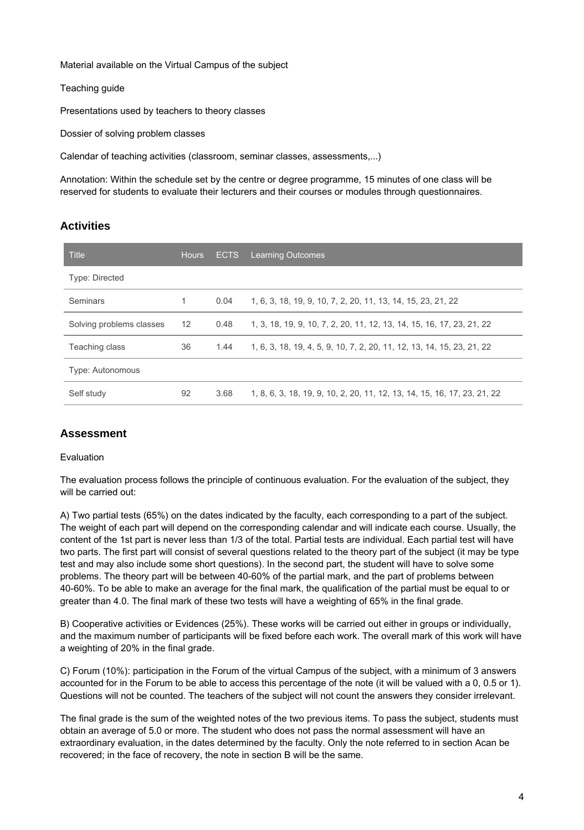Material available on the Virtual Campus of the subject

Teaching guide

Presentations used by teachers to theory classes

Dossier of solving problem classes

Calendar of teaching activities (classroom, seminar classes, assessments,...)

Annotation: Within the schedule set by the centre or degree programme, 15 minutes of one class will be reserved for students to evaluate their lecturers and their courses or modules through questionnaires.

# **Activities**

| Title                    | <b>Hours</b> | <b>ECTS</b> | <b>Learning Outcomes</b>                                                 |
|--------------------------|--------------|-------------|--------------------------------------------------------------------------|
| Type: Directed           |              |             |                                                                          |
| <b>Seminars</b>          | 1            | 0.04        | 1, 6, 3, 18, 19, 9, 10, 7, 2, 20, 11, 13, 14, 15, 23, 21, 22             |
| Solving problems classes | 12           | 0.48        | 1, 3, 18, 19, 9, 10, 7, 2, 20, 11, 12, 13, 14, 15, 16, 17, 23, 21, 22    |
| Teaching class           | 36           | 1.44        | 1, 6, 3, 18, 19, 4, 5, 9, 10, 7, 2, 20, 11, 12, 13, 14, 15, 23, 21, 22   |
| Type: Autonomous         |              |             |                                                                          |
| Self study               | 92           | 3.68        | 1, 8, 6, 3, 18, 19, 9, 10, 2, 20, 11, 12, 13, 14, 15, 16, 17, 23, 21, 22 |

## **Assessment**

Evaluation

The evaluation process follows the principle of continuous evaluation. For the evaluation of the subject, they will be carried out:

A) Two partial tests (65%) on the dates indicated by the faculty, each corresponding to a part of the subject. The weight of each part will depend on the corresponding calendar and will indicate each course. Usually, the content of the 1st part is never less than 1/3 of the total. Partial tests are individual. Each partial test will have two parts. The first part will consist of several questions related to the theory part of the subject (it may be type test and may also include some short questions). In the second part, the student will have to solve some problems. The theory part will be between 40-60% of the partial mark, and the part of problems between 40-60%. To be able to make an average for the final mark, the qualification of the partial must be equal to or greater than 4.0. The final mark of these two tests will have a weighting of 65% in the final grade.

B) Cooperative activities or Evidences (25%). These works will be carried out either in groups or individually, and the maximum number of participants will be fixed before each work. The overall mark of this work will have a weighting of 20% in the final grade.

C) Forum (10%): participation in the Forum of the virtual Campus of the subject, with a minimum of 3 answers accounted for in the Forum to be able to access this percentage of the note (it will be valued with a 0, 0.5 or 1). Questions will not be counted. The teachers of the subject will not count the answers they consider irrelevant.

The final grade is the sum of the weighted notes of the two previous items. To pass the subject, students must obtain an average of 5.0 or more. The student who does not pass the normal assessment will have an extraordinary evaluation, in the dates determined by the faculty. Only the note referred to in section Acan be recovered; in the face of recovery, the note in section B will be the same.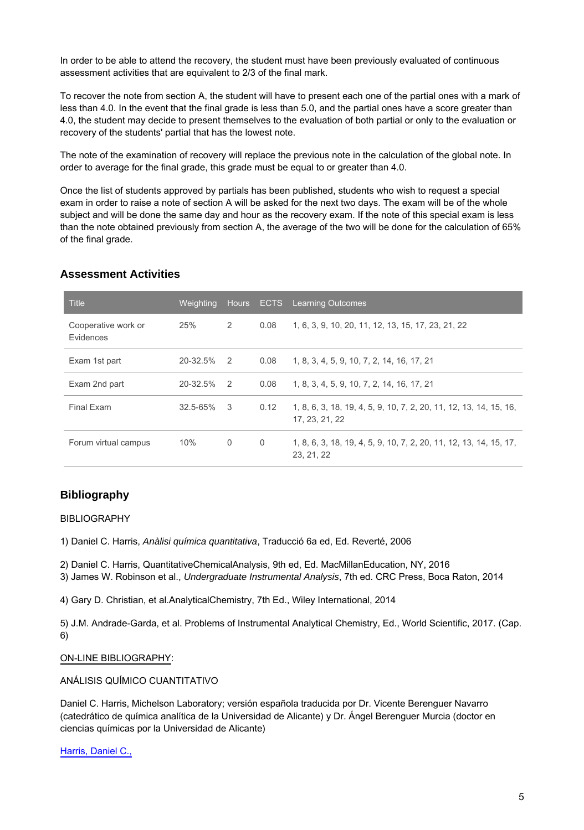In order to be able to attend the recovery, the student must have been previously evaluated of continuous assessment activities that are equivalent to 2/3 of the final mark.

To recover the note from section A, the student will have to present each one of the partial ones with a mark of less than 4.0. In the event that the final grade is less than 5.0, and the partial ones have a score greater than 4.0, the student may decide to present themselves to the evaluation of both partial or only to the evaluation or recovery of the students' partial that has the lowest note.

The note of the examination of recovery will replace the previous note in the calculation of the global note. In order to average for the final grade, this grade must be equal to or greater than 4.0.

Once the list of students approved by partials has been published, students who wish to request a special exam in order to raise a note of section A will be asked for the next two days. The exam will be of the whole subject and will be done the same day and hour as the recovery exam. If the note of this special exam is less than the note obtained previously from section A, the average of the two will be done for the calculation of 65% of the final grade.

### **Assessment Activities**

| <b>Title</b>                     | Weighting       |                |      | Hours ECTS Learning Outcomes                                                         |
|----------------------------------|-----------------|----------------|------|--------------------------------------------------------------------------------------|
| Cooperative work or<br>Evidences | 25%             | 2              | 0.08 | 1, 6, 3, 9, 10, 20, 11, 12, 13, 15, 17, 23, 21, 22                                   |
| Exam 1st part                    | $20 - 32.5\%$ 2 |                | 0.08 | 1, 8, 3, 4, 5, 9, 10, 7, 2, 14, 16, 17, 21                                           |
| Exam 2nd part                    | 20-32.5%        | $\overline{2}$ | 0.08 | 1, 8, 3, 4, 5, 9, 10, 7, 2, 14, 16, 17, 21                                           |
| Final Exam                       | $32.5 - 65%$    | -3             | 0.12 | 1, 8, 6, 3, 18, 19, 4, 5, 9, 10, 7, 2, 20, 11, 12, 13, 14, 15, 16,<br>17, 23, 21, 22 |
| Forum virtual campus             | 10%             | $\mathbf 0$    | 0    | 1, 8, 6, 3, 18, 19, 4, 5, 9, 10, 7, 2, 20, 11, 12, 13, 14, 15, 17,<br>23, 21, 22     |

## **Bibliography**

#### BIBLIOGRAPHY

1) Daniel C. Harris, Anàlisi química quantitativa, Traducció 6a ed, Ed. Reverté, 2006

2) Daniel C. Harris, QuantitativeChemicalAnalysis, 9th ed, Ed. MacMillanEducation, NY, 2016

3) James W. Robinson et al., Undergraduate Instrumental Analysis, 7th ed. CRC Press, Boca Raton, 2014

4) Gary D. Christian, et al.AnalyticalChemistry, 7th Ed., Wiley International, 2014

5) J.M. Andrade-Garda, et al. Problems of Instrumental Analytical Chemistry, Ed., World Scientific, 2017. (Cap. 6)

#### ON-LINE BIBLIOGRAPHY:

ANÁLISIS QUÍMICO CUANTITATIVO

Daniel C. Harris, Michelson Laboratory; versión española traducida por Dr. Vicente Berenguer Navarro (catedrático de química analítica de la Universidad de Alicante) y Dr. Ángel Berenguer Murcia (doctor en ciencias químicas por la Universidad de Alicante)

#### [Harris, Daniel C.,](https://cataleg.uab.cat/iii/encore/plus/C__SHarris%2C%20Daniel%20C.%2C__Orightresult?lang=cat&suite=def)